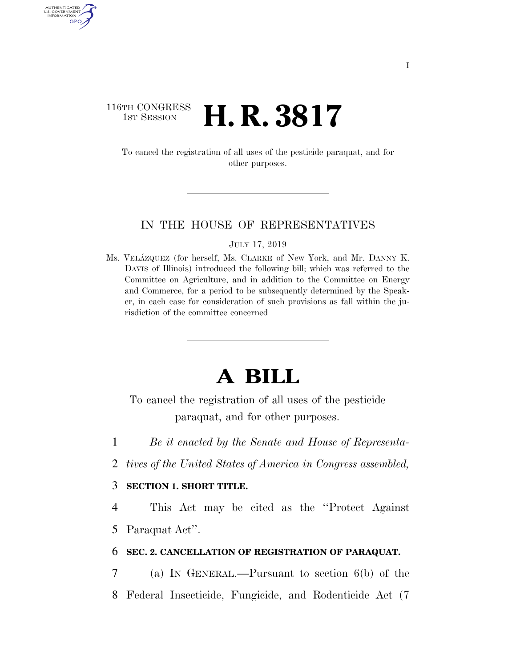# 116TH CONGRESS <sup>TH CONGRESS</sup> **H. R. 3817**

AUTHENTICATED U.S. GOVERNMENT **GPO** 

> To cancel the registration of all uses of the pesticide paraquat, and for other purposes.

### IN THE HOUSE OF REPRESENTATIVES

JULY 17, 2019

Ms. VELÁZQUEZ (for herself, Ms. CLARKE of New York, and Mr. DANNY K. DAVIS of Illinois) introduced the following bill; which was referred to the Committee on Agriculture, and in addition to the Committee on Energy and Commerce, for a period to be subsequently determined by the Speaker, in each case for consideration of such provisions as fall within the jurisdiction of the committee concerned

# **A BILL**

To cancel the registration of all uses of the pesticide paraquat, and for other purposes.

- 1 *Be it enacted by the Senate and House of Representa-*
- 2 *tives of the United States of America in Congress assembled,*

## 3 **SECTION 1. SHORT TITLE.**

4 This Act may be cited as the ''Protect Against 5 Paraquat Act''.

#### 6 **SEC. 2. CANCELLATION OF REGISTRATION OF PARAQUAT.**

7 (a) IN GENERAL.—Pursuant to section 6(b) of the 8 Federal Insecticide, Fungicide, and Rodenticide Act (7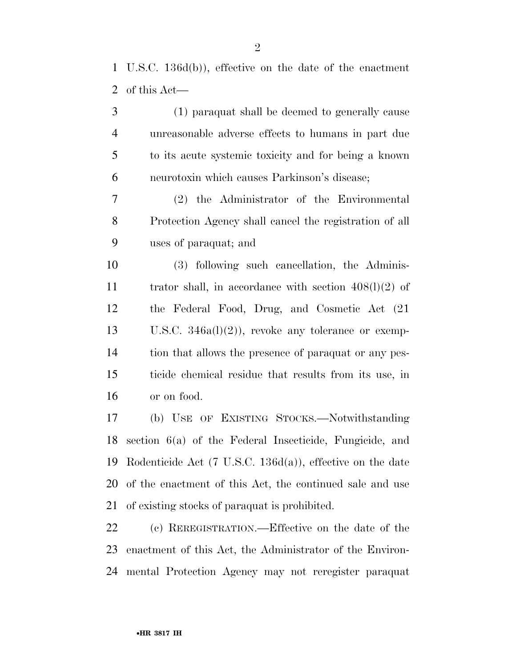U.S.C. 136d(b)), effective on the date of the enactment of this Act—

 (1) paraquat shall be deemed to generally cause unreasonable adverse effects to humans in part due to its acute systemic toxicity and for being a known neurotoxin which causes Parkinson's disease;

 (2) the Administrator of the Environmental Protection Agency shall cancel the registration of all uses of paraquat; and

 (3) following such cancellation, the Adminis- trator shall, in accordance with section 408(l)(2) of the Federal Food, Drug, and Cosmetic Act (21 U.S.C. 346a(l)(2)), revoke any tolerance or exemp- tion that allows the presence of paraquat or any pes- ticide chemical residue that results from its use, in or on food.

 (b) USE OF EXISTING STOCKS.—Notwithstanding section 6(a) of the Federal Insecticide, Fungicide, and Rodenticide Act (7 U.S.C. 136d(a)), effective on the date of the enactment of this Act, the continued sale and use of existing stocks of paraquat is prohibited.

 (c) REREGISTRATION.—Effective on the date of the enactment of this Act, the Administrator of the Environ-mental Protection Agency may not reregister paraquat